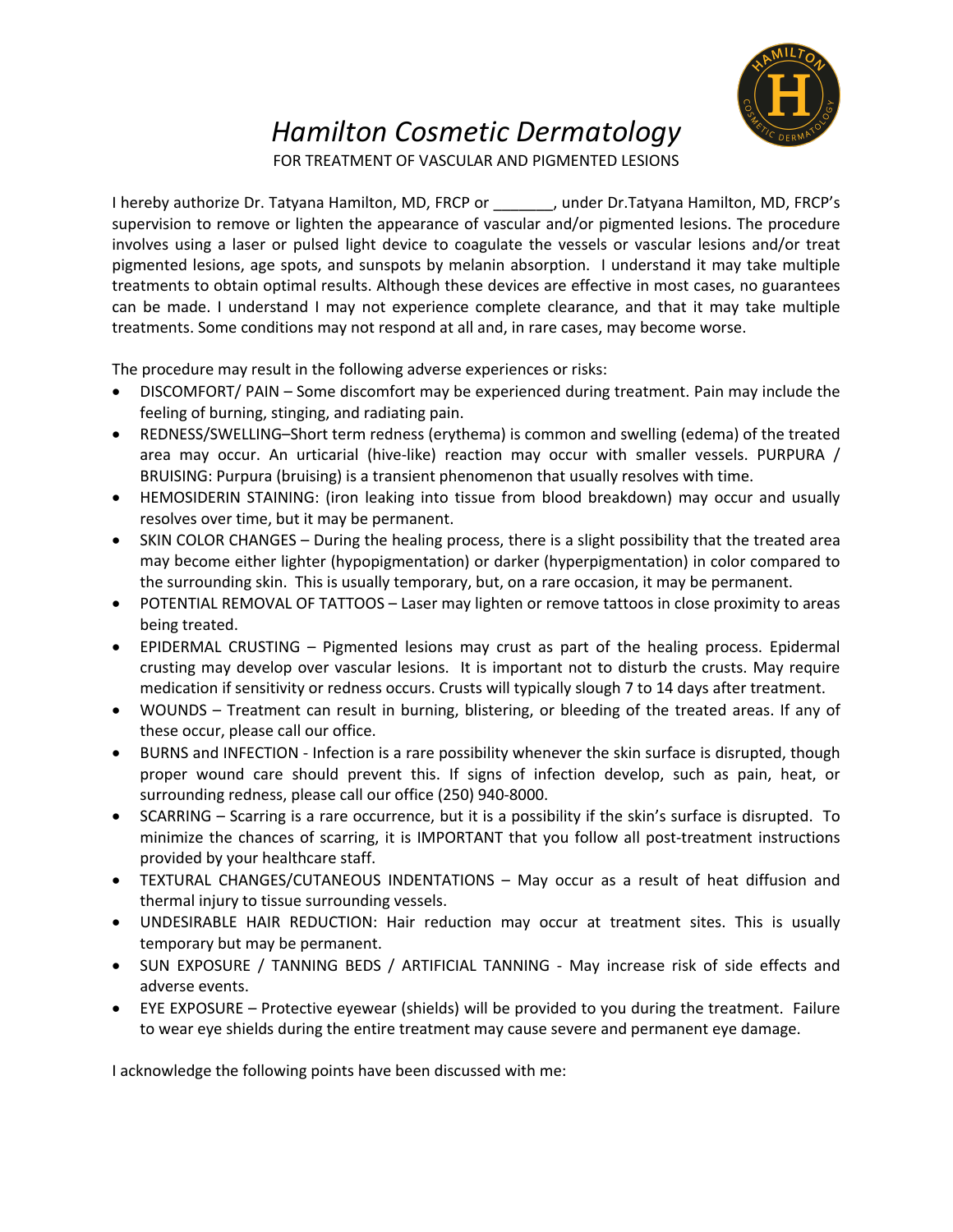## *Hamilton Cosmetic Dermatology*

FOR TREATMENT OF VASCULAR AND PIGMENTED LESIONS

I hereby authorize Dr. Tatyana Hamilton, MD, FRCP or \_\_\_\_\_\_\_, under Dr.Tatyana Hamilton, MD, FRCP's supervision to remove or lighten the appearance of vascular and/or pigmented lesions. The procedure involves using a laser or pulsed light device to coagulate the vessels or vascular lesions and/or treat pigmented lesions, age spots, and sunspots by melanin absorption. I understand it may take multiple treatments to obtain optimal results. Although these devices are effective in most cases, no guarantees can be made. I understand I may not experience complete clearance, and that it may take multiple treatments. Some conditions may not respond at all and, in rare cases, may become worse.

The procedure may result in the following adverse experiences or risks:

- DISCOMFORT/ PAIN Some discomfort may be experienced during treatment. Pain may include the feeling of burning, stinging, and radiating pain.
- REDNESS/SWELLING–Short term redness (erythema) is common and swelling (edema) of the treated area may occur. An urticarial (hive-like) reaction may occur with smaller vessels. PURPURA / BRUISING: Purpura (bruising) is a transient phenomenon that usually resolves with time.
- HEMOSIDERIN STAINING: (iron leaking into tissue from blood breakdown) may occur and usually resolves over time, but it may be permanent.
- SKIN COLOR CHANGES During the healing process, there is a slight possibility that the treated area may become either lighter (hypopigmentation) or darker (hyperpigmentation) in color compared to the surrounding skin. This is usually temporary, but, on a rare occasion, it may be permanent.
- POTENTIAL REMOVAL OF TATTOOS Laser may lighten or remove tattoos in close proximity to areas being treated.
- EPIDERMAL CRUSTING Pigmented lesions may crust as part of the healing process. Epidermal crusting may develop over vascular lesions. It is important not to disturb the crusts. May require medication if sensitivity or redness occurs. Crusts will typically slough 7 to 14 days after treatment.
- WOUNDS Treatment can result in burning, blistering, or bleeding of the treated areas. If any of these occur, please call our office.
- BURNS and INFECTION Infection is a rare possibility whenever the skin surface is disrupted, though proper wound care should prevent this. If signs of infection develop, such as pain, heat, or surrounding redness, please call our office (250) 940-8000.
- SCARRING Scarring is a rare occurrence, but it is a possibility if the skin's surface is disrupted. To minimize the chances of scarring, it is IMPORTANT that you follow all post-treatment instructions provided by your healthcare staff.
- TEXTURAL CHANGES/CUTANEOUS INDENTATIONS May occur as a result of heat diffusion and thermal injury to tissue surrounding vessels.
- UNDESIRABLE HAIR REDUCTION: Hair reduction may occur at treatment sites. This is usually temporary but may be permanent.
- SUN EXPOSURE / TANNING BEDS / ARTIFICIAL TANNING May increase risk of side effects and adverse events.
- EYE EXPOSURE Protective eyewear (shields) will be provided to you during the treatment. Failure to wear eye shields during the entire treatment may cause severe and permanent eye damage.

I acknowledge the following points have been discussed with me: